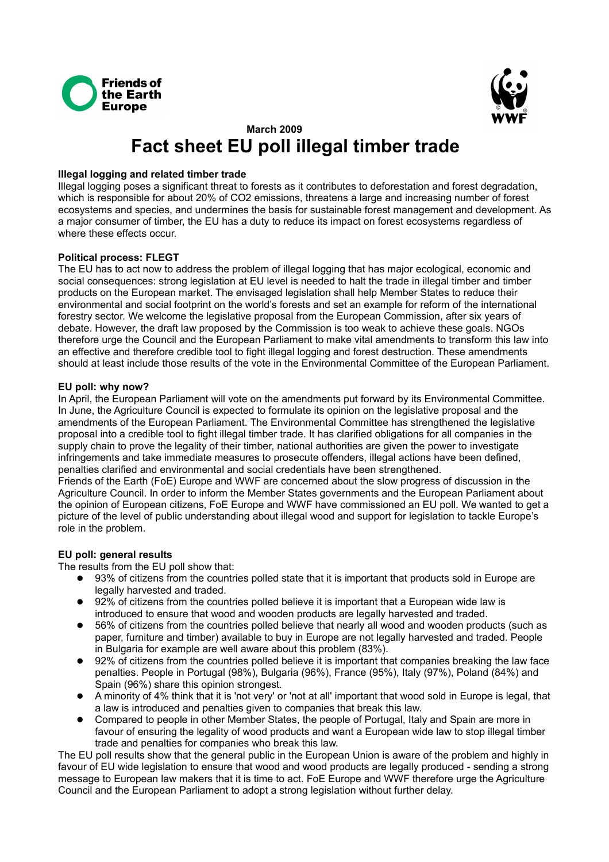



# **March 2009 Fact sheet EU poll illegal timber trade**

#### **Illegal logging and related timber trade**

Illegal logging poses a significant threat to forests as it contributes to deforestation and forest degradation, which is responsible for about 20% of CO2 emissions, threatens a large and increasing number of forest ecosystems and species, and undermines the basis for sustainable forest management and development. As a major consumer of timber, the EU has a duty to reduce its impact on forest ecosystems regardless of where these effects occur.

#### **Political process: FLEGT**

The EU has to act now to address the problem of illegal logging that has major ecological, economic and social consequences: strong legislation at EU level is needed to halt the trade in illegal timber and timber products on the European market. The envisaged legislation shall help Member States to reduce their environmental and social footprint on the world's forests and set an example for reform of the international forestry sector. We welcome the legislative proposal from the European Commission, after six years of debate. However, the draft law proposed by the Commission is too weak to achieve these goals. NGOs therefore urge the Council and the European Parliament to make vital amendments to transform this law into an effective and therefore credible tool to fight illegal logging and forest destruction. These amendments should at least include those results of the vote in the Environmental Committee of the European Parliament.

#### **EU poll: why now?**

In April, the European Parliament will vote on the amendments put forward by its Environmental Committee. In June, the Agriculture Council is expected to formulate its opinion on the legislative proposal and the amendments of the European Parliament. The Environmental Committee has strengthened the legislative proposal into a credible tool to fight illegal timber trade. It has clarified obligations for all companies in the supply chain to prove the legality of their timber, national authorities are given the power to investigate infringements and take immediate measures to prosecute offenders, illegal actions have been defined, penalties clarified and environmental and social credentials have been strengthened.

Friends of the Earth (FoE) Europe and WWF are concerned about the slow progress of discussion in the Agriculture Council. In order to inform the Member States governments and the European Parliament about the opinion of European citizens, FoE Europe and WWF have commissioned an EU poll. We wanted to get a picture of the level of public understanding about illegal wood and support for legislation to tackle Europe's role in the problem.

### **EU poll: general results**

The results from the EU poll show that:

- 93% of citizens from the countries polled state that it is important that products sold in Europe are legally harvested and traded.
- 92% of citizens from the countries polled believe it is important that a European wide law is introduced to ensure that wood and wooden products are legally harvested and traded.
- 56% of citizens from the countries polled believe that nearly all wood and wooden products (such as paper, furniture and timber) available to buy in Europe are not legally harvested and traded. People in Bulgaria for example are well aware about this problem (83%).
- 92% of citizens from the countries polled believe it is important that companies breaking the law face penalties. People in Portugal (98%), Bulgaria (96%), France (95%), Italy (97%), Poland (84%) and Spain (96%) share this opinion strongest.
- A minority of 4% think that it is 'not very' or 'not at all' important that wood sold in Europe is legal, that a law is introduced and penalties given to companies that break this law.
- Compared to people in other Member States, the people of Portugal, Italy and Spain are more in favour of ensuring the legality of wood products and want a European wide law to stop illegal timber trade and penalties for companies who break this law.

The EU poll results show that the general public in the European Union is aware of the problem and highly in favour of EU wide legislation to ensure that wood and wood products are legally produced - sending a strong message to European law makers that it is time to act. FoE Europe and WWF therefore urge the Agriculture Council and the European Parliament to adopt a strong legislation without further delay.